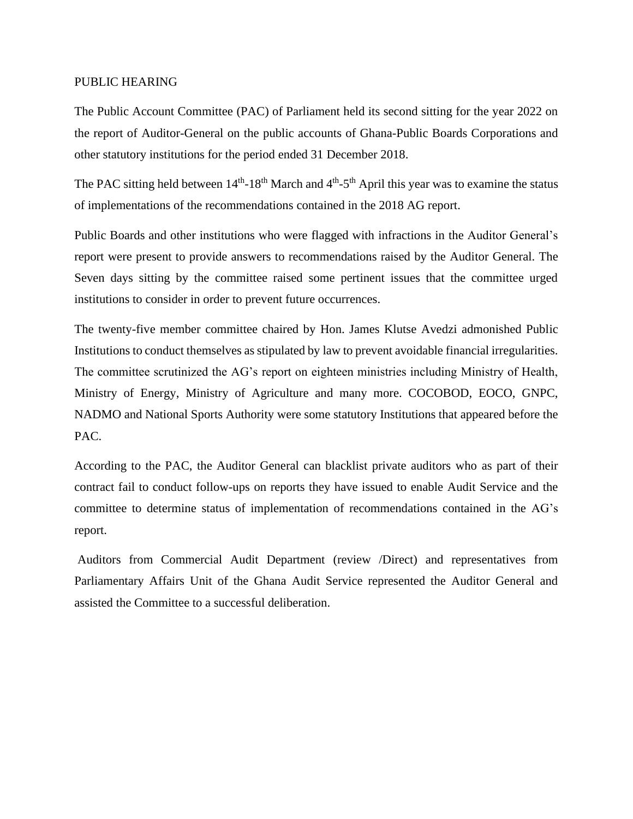#### PUBLIC HEARING

The Public Account Committee (PAC) of Parliament held its second sitting for the year 2022 on the report of Audit[or-General on the public accounts of Ghana-Public Boards Corporations and](https://ghaudit.org/web/wp-content/uploads/2020/02/REPORT-OF-THE-AUDITOR-GENERAL-ON-THE-PUBLIC-ACCOUNTS-OF-GHANA-PUBLIC-BOARDS-CORPORATIONS-AND-OTHER-STATUTORY-INSTITUTIONS-FOR-THE-PERIOD-ENDED-31-DECEMBER-2018.pdf)  other statutory [institutions for the period ended 31 December](https://ghaudit.org/web/wp-content/uploads/2020/02/REPORT-OF-THE-AUDITOR-GENERAL-ON-THE-PUBLIC-ACCOUNTS-OF-GHANA-PUBLIC-BOARDS-CORPORATIONS-AND-OTHER-STATUTORY-INSTITUTIONS-FOR-THE-PERIOD-ENDED-31-DECEMBER-2018.pdf) 2018.

The PAC sitting held between  $14<sup>th</sup>$ -18<sup>th</sup> March and  $4<sup>th</sup>$ -5<sup>th</sup> April this year was to examine the status of implementations of the recommendations contained in the 2018 AG report.

Public Boards and other institutions who were flagged with infractions in the Auditor General's report were present to provide answers to recommendations raised by the Auditor General. The Seven days sitting by the committee raised some pertinent issues that the committee urged institutions to consider in order to prevent future occurrences.

The twenty-five member committee chaired by Hon. James Klutse Avedzi admonished Public Institutions to conduct themselves as stipulated by law to prevent avoidable financial irregularities. The committee scrutinized the AG's report on eighteen ministries including Ministry of Health, Ministry of Energy, Ministry of Agriculture and many more. COCOBOD, EOCO, GNPC, NADMO and National Sports Authority were some statutory Institutions that appeared before the PAC.

According to the PAC, the Auditor General can blacklist private auditors who as part of their contract fail to conduct follow-ups on reports they have issued to enable Audit Service and the committee to determine status of implementation of recommendations contained in the AG's report.

Auditors from Commercial Audit Department (review /Direct) and representatives from Parliamentary Affairs Unit of the Ghana Audit Service represented the Auditor General and assisted the Committee to a successful deliberation.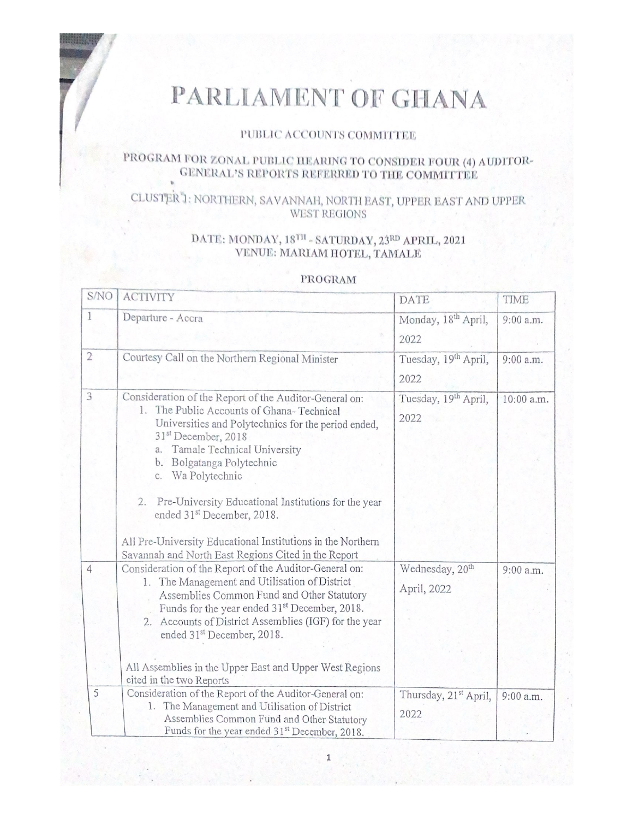# PARLIAMENT OF GHANA

#### PUBLIC ACCOUNTS COMMITTEE

## PROGRAM FOR ZONAL PUBLIC HEARING TO CONSIDER FOUR (4) AUDITOR-GENERAL'S REPORTS REFERRED TO THE COMMITTEE

## CLUSTER 1: NORTHERN, SAVANNAH, NORTH EAST, UPPER EAST AND UPPER WEST REGIONS

### DATE: MONDAY, 18TH - SATURDAY, 23RD APRIL, 2021 VENUE: MARIAM HOTEL, TAMALE

#### PROGRAM

| S/NO           | <b>ACTIVITY</b>                                                                                                                                                                                                                                                                                                                                                                                                                                                                                                       | <b>DATE</b>                                | TIME       |
|----------------|-----------------------------------------------------------------------------------------------------------------------------------------------------------------------------------------------------------------------------------------------------------------------------------------------------------------------------------------------------------------------------------------------------------------------------------------------------------------------------------------------------------------------|--------------------------------------------|------------|
| 1              | Departure - Accra                                                                                                                                                                                                                                                                                                                                                                                                                                                                                                     | Monday, 18 <sup>th</sup> April,<br>2022    | 9:00 a.m.  |
| $\overline{2}$ | Courtesy Call on the Northern Regional Minister                                                                                                                                                                                                                                                                                                                                                                                                                                                                       | Tuesday, 19 <sup>th</sup> April,<br>2022   | 9:00 a.m.  |
| 3              | Consideration of the Report of the Auditor-General on:<br>1. The Public Accounts of Ghana-Technical<br>Universities and Polytechnics for the period ended,<br>31 <sup>st</sup> December, 2018<br>Tamale Technical University<br>a.<br>Bolgatanga Polytechnic<br>b.<br>c. Wa Polytechnic<br>Pre-University Educational Institutions for the year<br>2.<br>ended 31 <sup>st</sup> December, 2018.<br>All Pre-University Educational Institutions in the Northern<br>Savannah and North East Regions Cited in the Report | Tuesday, 19th April,<br>2022               | 10:00 a.m. |
| $\overline{4}$ | Consideration of the Report of the Auditor-General on:<br>1. The Management and Utilisation of District<br>Assemblies Common Fund and Other Statutory<br>Funds for the year ended 31 <sup>st</sup> December, 2018.<br>2. Accounts of District Assemblies (IGF) for the year<br>ended 31 <sup>st</sup> December, 2018.<br>All Assemblies in the Upper East and Upper West Regions<br>cited in the two Reports                                                                                                          | Wednesday, 20 <sup>th</sup><br>April, 2022 | 9:00 a.m.  |
| 5              | Consideration of the Report of the Auditor-General on:<br>1. The Management and Utilisation of District<br>Assemblies Common Fund and Other Statutory<br>Funds for the year ended 31 <sup>st</sup> December, 2018.                                                                                                                                                                                                                                                                                                    | Thursday, 21 <sup>st</sup> April,<br>2022  | 9:00 a.m.  |